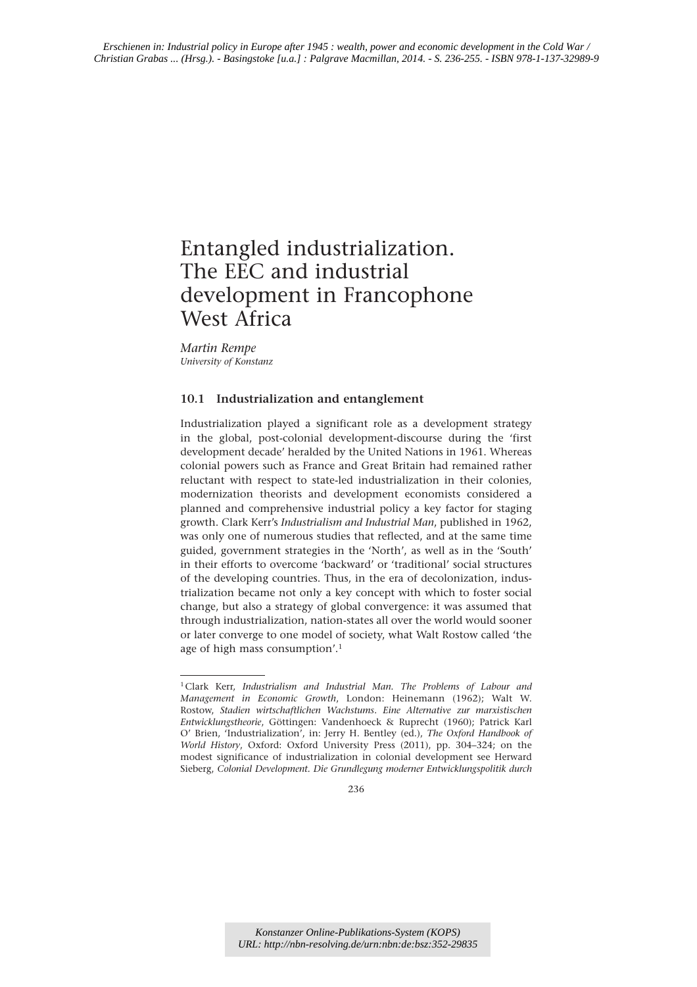# Entangled industrialization. The EEC and industrial development in Francophone West Africa

*Martin Rempe University of Konstanz*

## **10.1 Industrialization and entanglement**

Industrialization played a significant role as a development strategy in the global, post-colonial development-discourse during the 'first development decade' heralded by the United Nations in 1961. Whereas colonial powers such as France and Great Britain had remained rather reluctant with respect to state-led industrialization in their colonies, modernization theorists and development economists considered a planned and comprehensive industrial policy a key factor for staging growth. Clark Kerr's *Industrialism and Industrial Man*, published in 1962, was only one of numerous studies that reflected, and at the same time guided, government strategies in the 'North', as well as in the 'South' in their efforts to overcome 'backward' or 'traditional' social structures of the developing countries. Thus, in the era of decolonization, industrialization became not only a key concept with which to foster social change, but also a strategy of global convergence: it was assumed that through industrialization, nation-states all over the world would sooner or later converge to one model of society, what Walt Rostow called 'the age of high mass consumption'.1

<sup>1</sup> Clark Kerr, *Industrialism and Industrial Man. The Problems of Labour and Management in Economic Growth*, London: Heinemann (1962); Walt W. Rostow, *Stadien wirtschaftlichen Wachstums. Eine Alternative zur marxistischen Entwicklungstheorie*, Göttingen: Vandenhoeck & Ruprecht (1960); Patrick Karl O' Brien, 'Industrialization', in: Jerry H. Bentley (ed.), *The Oxford Handbook of World History*, Oxford: Oxford University Press (2011), pp. 304–324; on the modest significance of industrialization in colonial development see Herward Sieberg, *Colonial Development. Die Grundlegung moderner Entwicklungspolitik durch*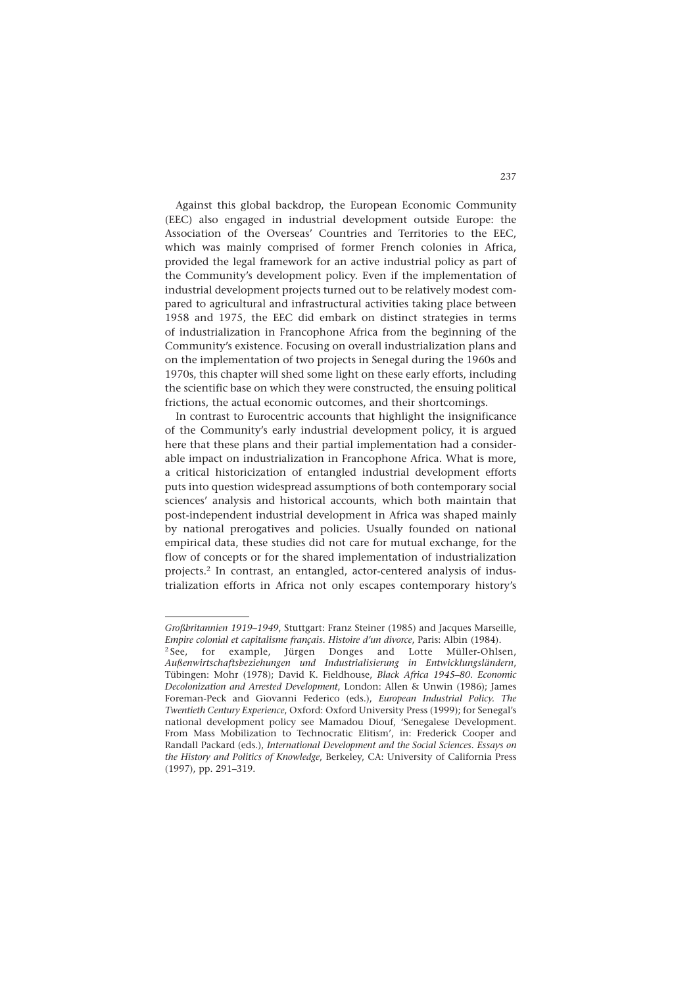Against this global backdrop, the European Economic Community (EEC) also engaged in industrial development outside Europe: the Association of the Overseas' Countries and Territories to the EEC, which was mainly comprised of former French colonies in Africa, provided the legal framework for an active industrial policy as part of the Community's development policy. Even if the implementation of industrial development projects turned out to be relatively modest compared to agricultural and infrastructural activities taking place between 1958 and 1975, the EEC did embark on distinct strategies in terms of industrialization in Francophone Africa from the beginning of the Community's existence. Focusing on overall industrialization plans and on the implementation of two projects in Senegal during the 1960s and 1970s, this chapter will shed some light on these early efforts, including the scientific base on which they were constructed, the ensuing political frictions, the actual economic outcomes, and their shortcomings.

In contrast to Eurocentric accounts that highlight the insignificance of the Community's early industrial development policy, it is argued here that these plans and their partial implementation had a considerable impact on industrialization in Francophone Africa. What is more, a critical historicization of entangled industrial development efforts puts into question widespread assumptions of both contemporary social sciences' analysis and historical accounts, which both maintain that post-independent industrial development in Africa was shaped mainly by national prerogatives and policies. Usually founded on national empirical data, these studies did not care for mutual exchange, for the flow of concepts or for the shared implementation of industrialization projects.2 In contrast, an entangled, actor-centered analysis of industrialization efforts in Africa not only escapes contemporary history's

*Großbritannien 1919–1949*, Stuttgart: Franz Steiner (1985) and Jacques Marseille, *Empire colonial et capitalisme français. Histoire d'un divorce*, Paris: Albin (1984).

<sup>&</sup>lt;sup>2</sup> See, for example, Jürgen Donges and Lotte Müller-Ohlsen, *Außenwirtschaftsbeziehungen und Industrialisierung in Entwicklungsländern*, Tübingen: Mohr (1978); David K. Fieldhouse, *Black Africa 1945–80. Economic Decolonization and Arrested Development*, London: Allen & Unwin (1986); James Foreman-Peck and Giovanni Federico (eds.), *European Industrial Policy. The Twentieth Century Experience*, Oxford: Oxford University Press (1999); for Senegal's national development policy see Mamadou Diouf, 'Senegalese Development. From Mass Mobilization to Technocratic Elitism', in: Frederick Cooper and Randall Packard (eds.), *International Development and the Social Sciences. Essays on the History and Politics of Knowledge*, Berkeley, CA: University of California Press (1997), pp. 291–319.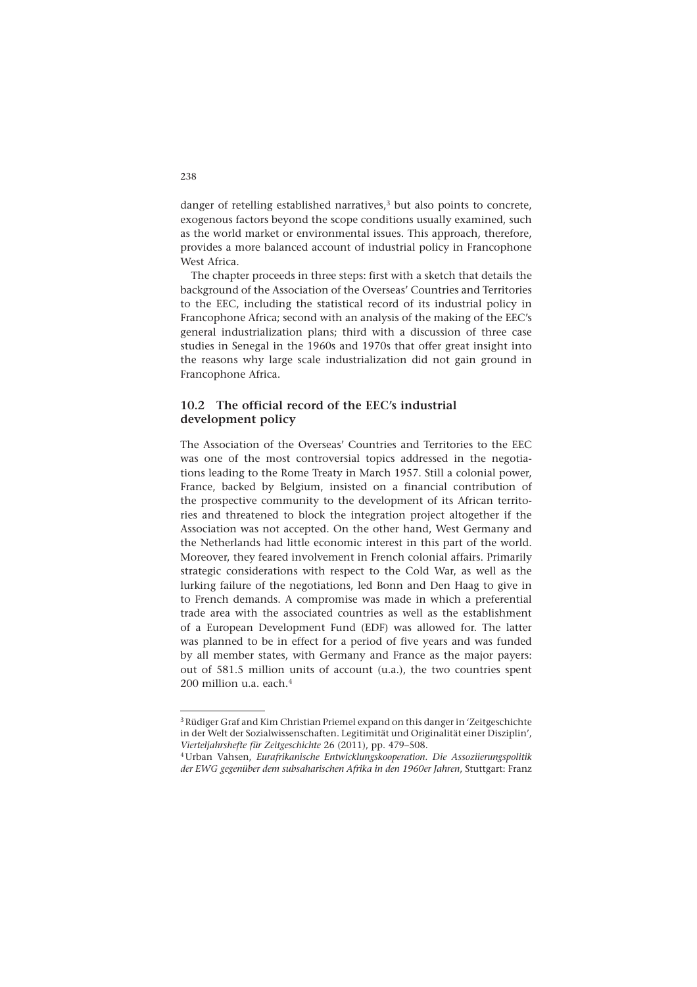danger of retelling established narratives,<sup>3</sup> but also points to concrete, exogenous factors beyond the scope conditions usually examined, such as the world market or environmental issues. This approach, therefore, provides a more balanced account of industrial policy in Francophone West Africa.

The chapter proceeds in three steps: first with a sketch that details the background of the Association of the Overseas' Countries and Territories to the EEC, including the statistical record of its industrial policy in Francophone Africa; second with an analysis of the making of the EEC's general industrialization plans; third with a discussion of three case studies in Senegal in the 1960s and 1970s that offer great insight into the reasons why large scale industrialization did not gain ground in Francophone Africa.

# **10.2 The official record of the EEC's industrial development policy**

The Association of the Overseas' Countries and Territories to the EEC was one of the most controversial topics addressed in the negotiations leading to the Rome Treaty in March 1957. Still a colonial power, France, backed by Belgium, insisted on a financial contribution of the prospective community to the development of its African territories and threatened to block the integration project altogether if the Association was not accepted. On the other hand, West Germany and the Netherlands had little economic interest in this part of the world. Moreover, they feared involvement in French colonial affairs. Primarily strategic considerations with respect to the Cold War, as well as the lurking failure of the negotiations, led Bonn and Den Haag to give in to French demands. A compromise was made in which a preferential trade area with the associated countries as well as the establishment of a European Development Fund (EDF) was allowed for. The latter was planned to be in effect for a period of five years and was funded by all member states, with Germany and France as the major payers: out of 581.5 million units of account (u.a.), the two countries spent 200 million u.a. each.4

<sup>3</sup> Rüdiger Graf and Kim Christian Priemel expand on this danger in 'Zeitgeschichte in der Welt der Sozialwissenschaften. Legitimität und Originalität einer Disziplin', *Vierteljahrshefte für Zeitgeschichte* 26 (2011), pp. 479–508.

<sup>4</sup> Urban Vahsen, *Eurafrikanische Entwicklungskooperation. Die Assoziierungspolitik der EWG gegenüber dem subsaharischen Afrika in den 1960er Jahren*, Stuttgart: Franz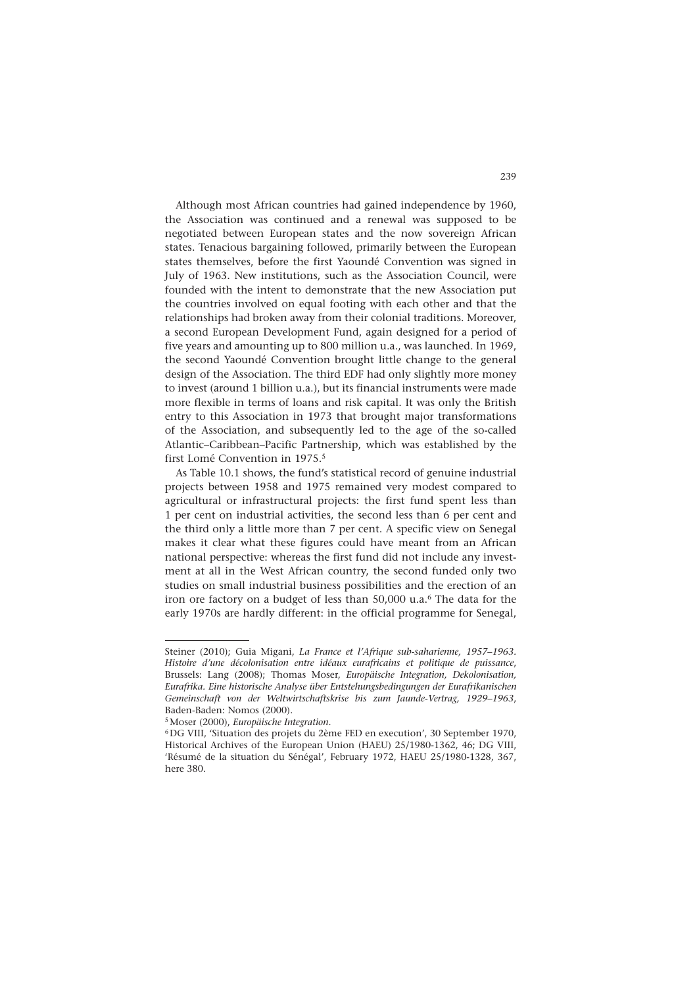Although most African countries had gained independence by 1960, the Association was continued and a renewal was supposed to be negotiated between European states and the now sovereign African states. Tenacious bargaining followed, primarily between the European states themselves, before the first Yaoundé Convention was signed in July of 1963. New institutions, such as the Association Council, were founded with the intent to demonstrate that the new Association put the countries involved on equal footing with each other and that the relationships had broken away from their colonial traditions. Moreover, a second European Development Fund, again designed for a period of five years and amounting up to 800 million u.a., was launched. In 1969, the second Yaoundé Convention brought little change to the general design of the Association. The third EDF had only slightly more money to invest (around 1 billion u.a.), but its financial instruments were made more flexible in terms of loans and risk capital. It was only the British entry to this Association in 1973 that brought major transformations of the Association, and subsequently led to the age of the so-called Atlantic–Caribbean–Pacific Partnership, which was established by the first Lomé Convention in 1975.<sup>5</sup>

As Table 10.1 shows, the fund's statistical record of genuine industrial projects between 1958 and 1975 remained very modest compared to agricultural or infrastructural projects: the first fund spent less than 1 per cent on industrial activities, the second less than 6 per cent and the third only a little more than 7 per cent. A specific view on Senegal makes it clear what these figures could have meant from an African national perspective: whereas the first fund did not include any investment at all in the West African country, the second funded only two studies on small industrial business possibilities and the erection of an iron ore factory on a budget of less than 50,000 u.a.<sup>6</sup> The data for the early 1970s are hardly different: in the official programme for Senegal,

Steiner (2010); Guia Migani, *La France et l'Afrique sub-saharienne, 1957–1963. Histoire d'une décolonisation entre idéaux eurafricains et politique de puissance*, Brussels: Lang (2008); Thomas Moser, *Europäische Integration, Dekolonisation, Eurafrika. Eine historische Analyse über Entstehungsbedingungen der Eurafrikanischen Gemeinschaft von der Weltwirtschaftskrise bis zum Jaunde-Vertrag, 1929–1963*, Baden-Baden: Nomos (2000).

<sup>5</sup> Moser (2000), *Europäische Integration*.

<sup>6</sup> DG VIII, 'Situation des projets du 2ème FED en execution', 30 September 1970, Historical Archives of the European Union (HAEU) 25/1980-1362, 46; DG VIII, 'Résumé de la situation du Sénégal', February 1972, HAEU 25/1980-1328, 367, here 380.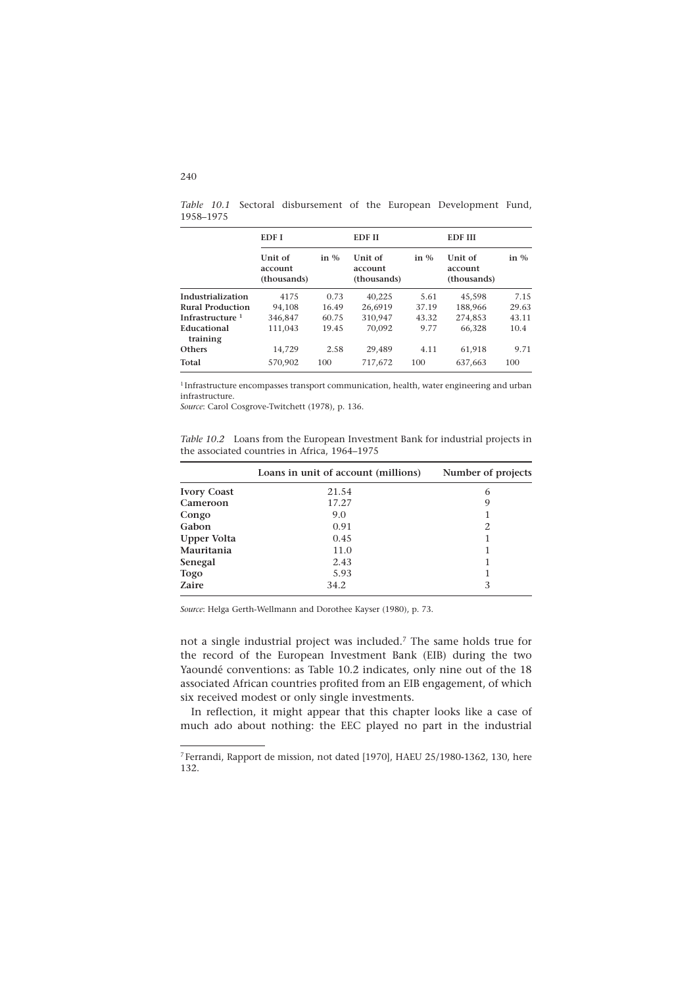|                             | EDF I                             |         | <b>EDF II</b>                     |         | <b>EDF III</b>                    |         |
|-----------------------------|-----------------------------------|---------|-----------------------------------|---------|-----------------------------------|---------|
|                             | Unit of<br>account<br>(thousands) | in $\%$ | Unit of<br>account<br>(thousands) | in $\%$ | Unit of<br>account<br>(thousands) | in $\%$ |
| Industrialization           | 4175                              | 0.73    | 40.225                            | 5.61    | 45,598                            | 7.15    |
| <b>Rural Production</b>     | 94.108                            | 16.49   | 26,6919                           | 37.19   | 188.966                           | 29.63   |
| Infrastructure <sup>1</sup> | 346,847                           | 60.75   | 310,947                           | 43.32   | 274,853                           | 43.11   |
| Educational<br>training     | 111.043                           | 19.45   | 70,092                            | 9.77    | 66,328                            | 10.4    |
| <b>Others</b>               | 14,729                            | 2.58    | 29,489                            | 4.11    | 61,918                            | 9.71    |
| Total                       | 570,902                           | 100     | 717.672                           | 100     | 637.663                           | 100     |

*Table 10.1* Sectoral disbursement of the European Development Fund, 1958–1975

<sup>1</sup> Infrastructure encompasses transport communication, health, water engineering and urban infrastructure.

*Source*: Carol Cosgrove-Twitchett (1978), p. 136.

*Table 10.2* Loans from the European Investment Bank for industrial projects in the associated countries in Africa, 1964–1975

|                    | Loans in unit of account (millions) | Number of projects |
|--------------------|-------------------------------------|--------------------|
| <b>Ivory Coast</b> | 21.54                               | 6                  |
| Cameroon           | 17.27                               | 9                  |
| Congo              | 9.0                                 |                    |
| Gabon              | 0.91                                | 2                  |
| Upper Volta        | 0.45                                |                    |
| Mauritania         | 11.0                                |                    |
| Senegal            | 2.43                                |                    |
| <b>Togo</b>        | 5.93                                |                    |
| Zaire              | 34.2                                | 3                  |

*Source*: Helga Gerth-Wellmann and Dorothee Kayser (1980), p. 73.

not a single industrial project was included.7 The same holds true for the record of the European Investment Bank (EIB) during the two Yaoundé conventions: as Table 10.2 indicates, only nine out of the 18 associated African countries profited from an EIB engagement, of which six received modest or only single investments.

In reflection, it might appear that this chapter looks like a case of much ado about nothing: the EEC played no part in the industrial

240

<sup>7</sup> Ferrandi, Rapport de mission, not dated [1970], HAEU 25/1980-1362, 130, here 132.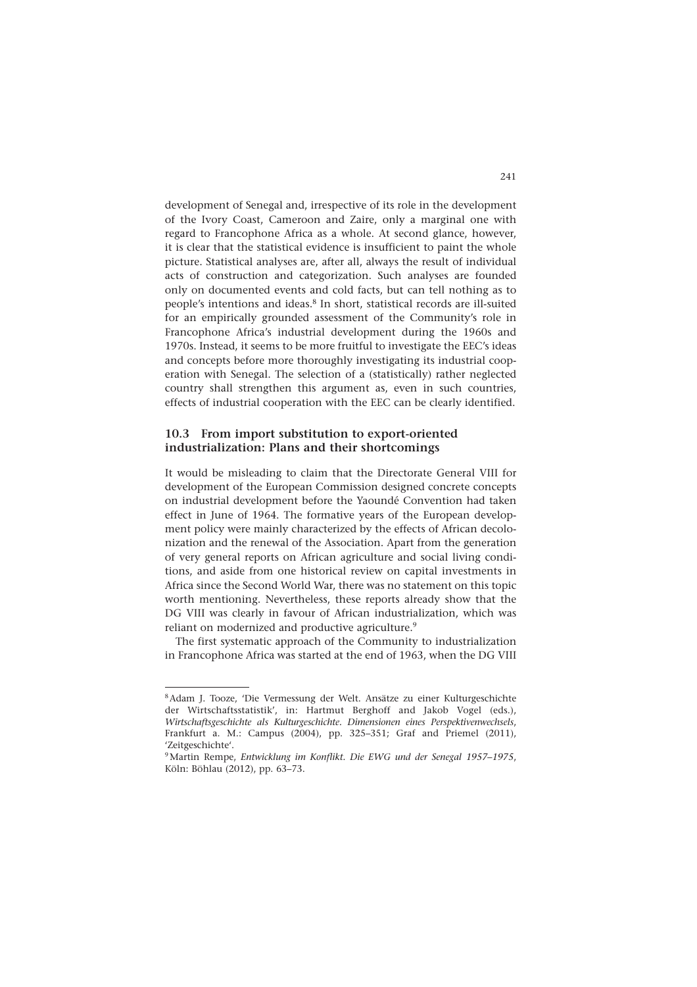development of Senegal and, irrespective of its role in the development of the Ivory Coast, Cameroon and Zaire, only a marginal one with regard to Francophone Africa as a whole. At second glance, however, it is clear that the statistical evidence is insufficient to paint the whole picture. Statistical analyses are, after all, always the result of individual acts of construction and categorization. Such analyses are founded only on documented events and cold facts, but can tell nothing as to people's intentions and ideas.8 In short, statistical records are ill-suited for an empirically grounded assessment of the Community's role in Francophone Africa's industrial development during the 1960s and 1970s. Instead, it seems to be more fruitful to investigate the EEC's ideas and concepts before more thoroughly investigating its industrial cooperation with Senegal. The selection of a (statistically) rather neglected country shall strengthen this argument as, even in such countries, effects of industrial cooperation with the EEC can be clearly identified.

### **10.3 From import substitution to export-oriented industrialization: Plans and their shortcomings**

It would be misleading to claim that the Directorate General VIII for development of the European Commission designed concrete concepts on industrial development before the Yaoundé Convention had taken effect in June of 1964. The formative years of the European development policy were mainly characterized by the effects of African decolonization and the renewal of the Association. Apart from the generation of very general reports on African agriculture and social living conditions, and aside from one historical review on capital investments in Africa since the Second World War, there was no statement on this topic worth mentioning. Nevertheless, these reports already show that the DG VIII was clearly in favour of African industrialization, which was reliant on modernized and productive agriculture.<sup>9</sup>

The first systematic approach of the Community to industrialization in Francophone Africa was started at the end of 1963, when the DG VIII

<sup>8</sup> Adam J. Tooze, 'Die Vermessung der Welt. Ansätze zu einer Kulturgeschichte der Wirtschaftsstatistik', in: Hartmut Berghoff and Jakob Vogel (eds.), *Wirtschaftsgeschichte als Kulturgeschichte. Dimensionen eines Perspektivenwechsels*, Frankfurt a. M.: Campus (2004), pp. 325–351; Graf and Priemel (2011), 'Zeitgeschichte'.

<sup>9</sup> Martin Rempe, *Entwicklung im Konflikt. Die EWG und der Senegal 1957–1975*, Köln: Böhlau (2012), pp. 63–73.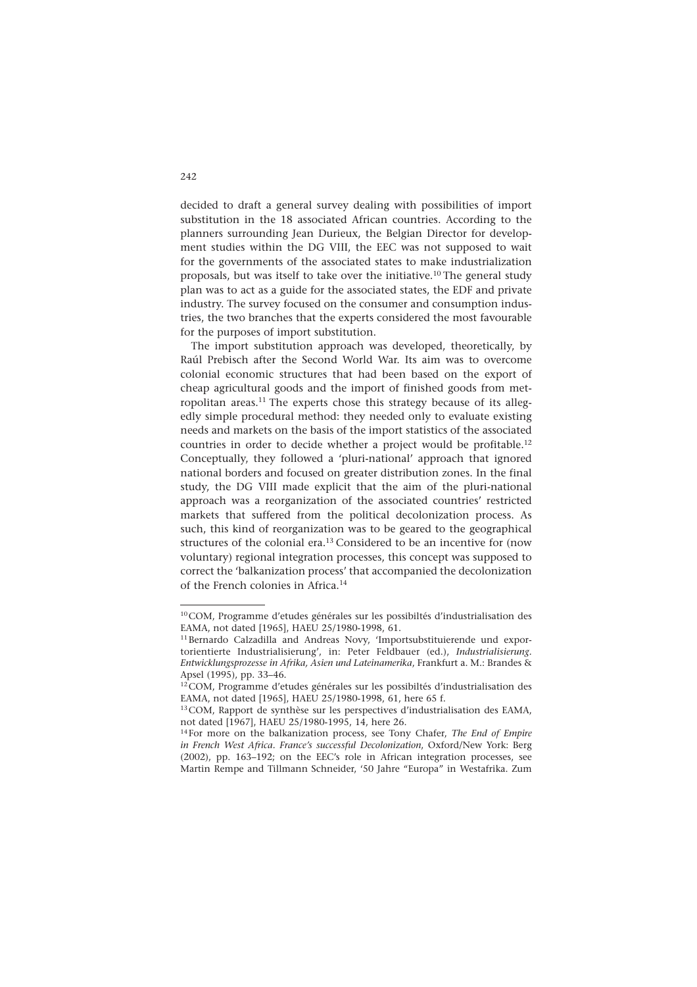decided to draft a general survey dealing with possibilities of import substitution in the 18 associated African countries. According to the planners surrounding Jean Durieux, the Belgian Director for development studies within the DG VIII, the EEC was not supposed to wait for the governments of the associated states to make industrialization proposals, but was itself to take over the initiative.10 The general study plan was to act as a guide for the associated states, the EDF and private industry. The survey focused on the consumer and consumption industries, the two branches that the experts considered the most favourable for the purposes of import substitution.

The import substitution approach was developed, theoretically, by Raúl Prebisch after the Second World War. Its aim was to overcome colonial economic structures that had been based on the export of cheap agricultural goods and the import of finished goods from metropolitan areas.11 The experts chose this strategy because of its allegedly simple procedural method: they needed only to evaluate existing needs and markets on the basis of the import statistics of the associated countries in order to decide whether a project would be profitable.12 Conceptually, they followed a 'pluri-national' approach that ignored national borders and focused on greater distribution zones. In the final study, the DG VIII made explicit that the aim of the pluri-national approach was a reorganization of the associated countries' restricted markets that suffered from the political decolonization process. As such, this kind of reorganization was to be geared to the geographical structures of the colonial era.<sup>13</sup> Considered to be an incentive for (now voluntary) regional integration processes, this concept was supposed to correct the 'balkanization process' that accompanied the decolonization of the French colonies in Africa.14

<sup>10</sup> COM, Programme d'etudes générales sur les possibiltés d'industrialisation des EAMA, not dated [1965], HAEU 25/1980-1998, 61.

<sup>11</sup> Bernardo Calzadilla and Andreas Novy, 'Importsubstituierende und exportorientierte Industrialisierung', in: Peter Feldbauer (ed.), *Industrialisierung. Entwicklungsprozesse in Afrika, Asien und Lateinamerika*, Frankfurt a. M.: Brandes & Apsel (1995), pp. 33–46.

<sup>12</sup> COM, Programme d'etudes générales sur les possibiltés d'industrialisation des EAMA, not dated [1965], HAEU 25/1980-1998, 61, here 65 f.

<sup>13</sup> COM, Rapport de synthèse sur les perspectives d'industrialisation des EAMA, not dated [1967], HAEU 25/1980-1995, 14, here 26.

<sup>14</sup> For more on the balkanization process, see Tony Chafer, *The End of Empire in French West Africa. France's successful Decolonization*, Oxford/New York: Berg (2002), pp. 163–192; on the EEC's role in African integration processes, see Martin Rempe and Tillmann Schneider, '50 Jahre "Europa" in Westafrika. Zum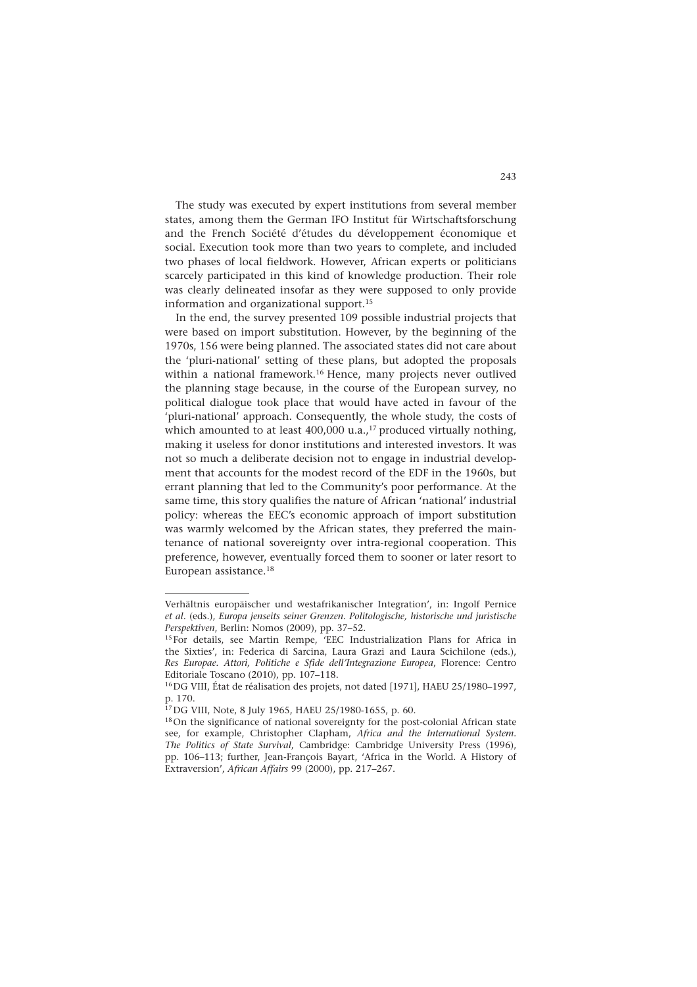The study was executed by expert institutions from several member states, among them the German IFO Institut für Wirtschaftsforschung and the French Société d'études du développement économique et social. Execution took more than two years to complete, and included two phases of local fieldwork. However, African experts or politicians scarcely participated in this kind of knowledge production. Their role was clearly delineated insofar as they were supposed to only provide information and organizational support.<sup>15</sup>

In the end, the survey presented 109 possible industrial projects that were based on import substitution. However, by the beginning of the 1970s, 156 were being planned. The associated states did not care about the 'pluri-national' setting of these plans, but adopted the proposals within a national framework.<sup>16</sup> Hence, many projects never outlived the planning stage because, in the course of the European survey, no political dialogue took place that would have acted in favour of the 'pluri-national' approach. Consequently, the whole study, the costs of which amounted to at least  $400,000$  u.a.,<sup>17</sup> produced virtually nothing, making it useless for donor institutions and interested investors. It was not so much a deliberate decision not to engage in industrial development that accounts for the modest record of the EDF in the 1960s, but errant planning that led to the Community's poor performance. At the same time, this story qualifies the nature of African 'national' industrial policy: whereas the EEC's economic approach of import substitution was warmly welcomed by the African states, they preferred the maintenance of national sovereignty over intra-regional cooperation. This preference, however, eventually forced them to sooner or later resort to European assistance.18

Verhältnis europäischer und westafrikanischer Integration', in: Ingolf Pernice *et al*. (eds.), *Europa jenseits seiner Grenzen. Politologische, historische und juristische Perspektiven*, Berlin: Nomos (2009), pp. 37–52.

<sup>15</sup> For details, see Martin Rempe, 'EEC Industrialization Plans for Africa in the Sixties', in: Federica di Sarcina, Laura Grazi and Laura Scichilone (eds.), *Res Europae. Attori, Politiche e Sfide dell'Integrazione Europea*, Florence: Centro Editoriale Toscano (2010), pp. 107–118.

<sup>16</sup> DG VIII, État de réalisation des projets, not dated [1971], HAEU 25/1980–1997, p. 170.

<sup>17</sup> DG VIII, Note, 8 July 1965, HAEU 25/1980-1655, p. 60.

<sup>&</sup>lt;sup>18</sup> On the significance of national sovereignty for the post-colonial African state see, for example, Christopher Clapham, *Africa and the International System. The Politics of State Survival*, Cambridge: Cambridge University Press (1996), pp. 106–113; further, Jean-François Bayart, 'Africa in the World. A History of Extraversion', *African Affairs* 99 (2000), pp. 217–267.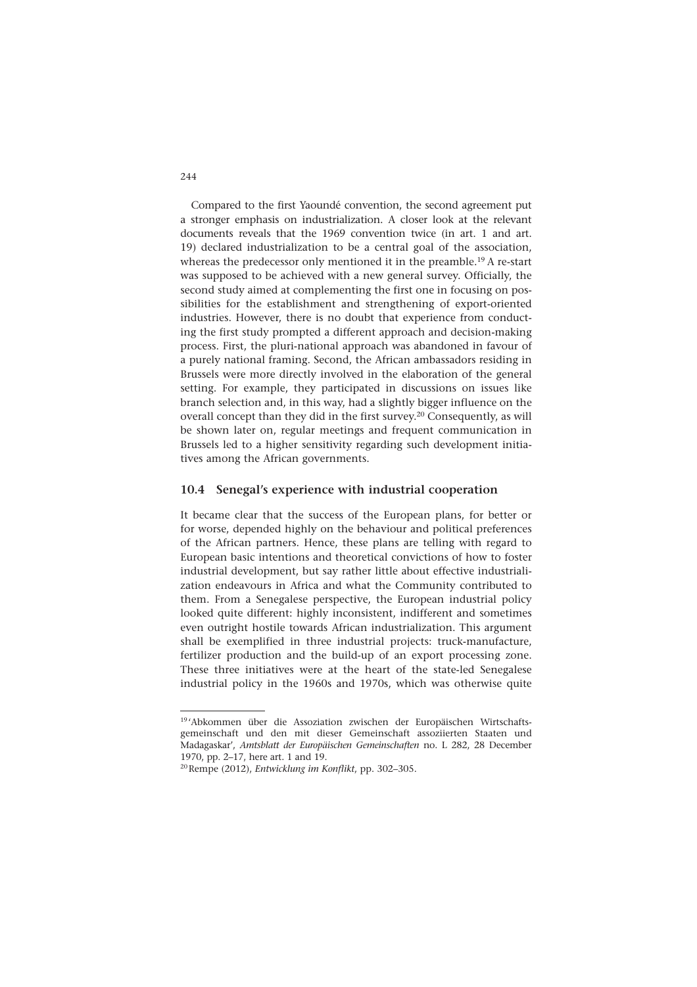Compared to the first Yaoundé convention, the second agreement put a stronger emphasis on industrialization. A closer look at the relevant documents reveals that the 1969 convention twice (in art. 1 and art. 19) declared industrialization to be a central goal of the association, whereas the predecessor only mentioned it in the preamble.19 A re-start was supposed to be achieved with a new general survey. Officially, the second study aimed at complementing the first one in focusing on possibilities for the establishment and strengthening of export-oriented industries. However, there is no doubt that experience from conducting the first study prompted a different approach and decision-making process. First, the pluri-national approach was abandoned in favour of a purely national framing. Second, the African ambassadors residing in Brussels were more directly involved in the elaboration of the general setting. For example, they participated in discussions on issues like branch selection and, in this way, had a slightly bigger influence on the overall concept than they did in the first survey.20 Consequently, as will be shown later on, regular meetings and frequent communication in Brussels led to a higher sensitivity regarding such development initiatives among the African governments.

#### **10.4 Senegal's experience with industrial cooperation**

It became clear that the success of the European plans, for better or for worse, depended highly on the behaviour and political preferences of the African partners. Hence, these plans are telling with regard to European basic intentions and theoretical convictions of how to foster industrial development, but say rather little about effective industrialization endeavours in Africa and what the Community contributed to them. From a Senegalese perspective, the European industrial policy looked quite different: highly inconsistent, indifferent and sometimes even outright hostile towards African industrialization. This argument shall be exemplified in three industrial projects: truck-manufacture, fertilizer production and the build-up of an export processing zone. These three initiatives were at the heart of the state-led Senegalese industrial policy in the 1960s and 1970s, which was otherwise quite

<sup>19 &#</sup>x27;Abkommen über die Assoziation zwischen der Europäischen Wirtschaftsgemeinschaft und den mit dieser Gemeinschaft assoziierten Staaten und Madagaskar', *Amtsblatt der Europäischen Gemeinschaften* no. L 282, 28 December 1970, pp. 2–17, here art. 1 and 19.

<sup>20</sup> Rempe (2012), *Entwicklung im Konflikt*, pp. 302–305.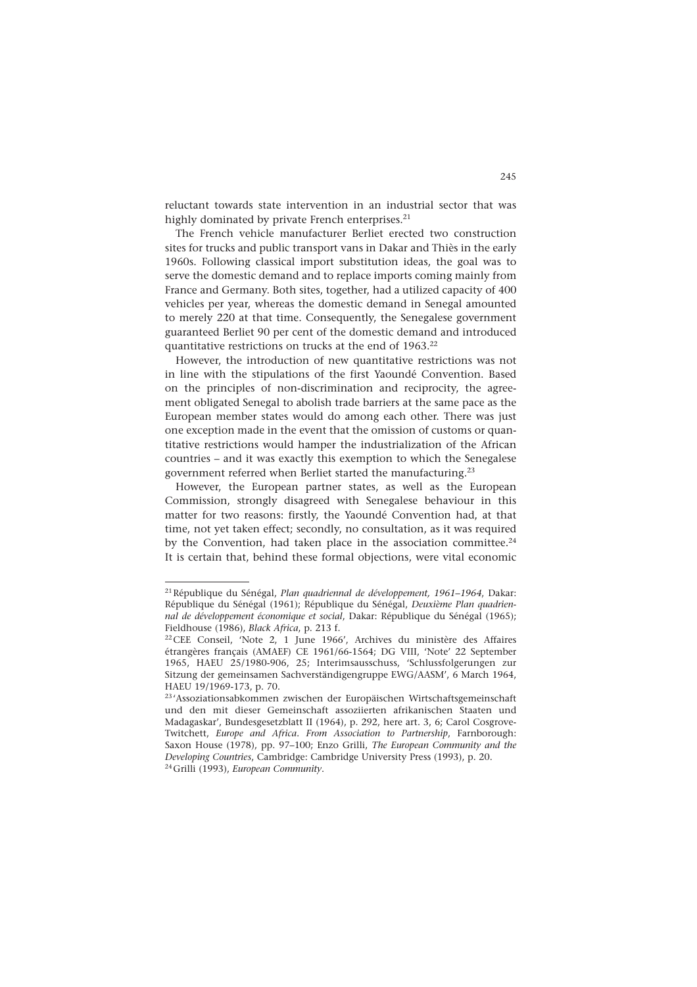reluctant towards state intervention in an industrial sector that was highly dominated by private French enterprises.<sup>21</sup>

The French vehicle manufacturer Berliet erected two construction sites for trucks and public transport vans in Dakar and Thiès in the early 1960s. Following classical import substitution ideas, the goal was to serve the domestic demand and to replace imports coming mainly from France and Germany. Both sites, together, had a utilized capacity of 400 vehicles per year, whereas the domestic demand in Senegal amounted to merely 220 at that time. Consequently, the Senegalese government guaranteed Berliet 90 per cent of the domestic demand and introduced quantitative restrictions on trucks at the end of 1963.22

However, the introduction of new quantitative restrictions was not in line with the stipulations of the first Yaoundé Convention. Based on the principles of non-discrimination and reciprocity, the agreement obligated Senegal to abolish trade barriers at the same pace as the European member states would do among each other. There was just one exception made in the event that the omission of customs or quantitative restrictions would hamper the industrialization of the African countries – and it was exactly this exemption to which the Senegalese government referred when Berliet started the manufacturing.<sup>23</sup>

However, the European partner states, as well as the European Commission, strongly disagreed with Senegalese behaviour in this matter for two reasons: firstly, the Yaoundé Convention had, at that time, not yet taken effect; secondly, no consultation, as it was required by the Convention, had taken place in the association committee.<sup>24</sup> It is certain that, behind these formal objections, were vital economic

<sup>21</sup> République du Sénégal, *Plan quadriennal de développement, 1961–1964*, Dakar: République du Sénégal (1961); République du Sénégal, *Deuxième Plan quadriennal de développement économique et social*, Dakar: République du Sénégal (1965); Fieldhouse (1986), *Black Africa*, p. 213 f.

<sup>22</sup> CEE Conseil, 'Note 2, 1 June 1966', Archives du ministère des Affaires étrangères français (AMAEF) CE 1961/66-1564; DG VIII, 'Note' 22 September 1965, HAEU 25/1980-906, 25; Interimsausschuss, 'Schlussfolgerungen zur Sitzung der gemeinsamen Sachverständigengruppe EWG/AASM', 6 March 1964, HAEU 19/1969-173, p. 70.

<sup>23 &#</sup>x27;Assoziationsabkommen zwischen der Europäischen Wirtschaftsgemeinschaft und den mit dieser Gemeinschaft assoziierten afrikanischen Staaten und Madagaskar', Bundesgesetzblatt II (1964), p. 292, here art. 3, 6; Carol Cosgrove-Twitchett, *Europe and Africa. From Association to Partnership*, Farnborough: Saxon House (1978), pp. 97–100; Enzo Grilli, *The European Community and the Developing Countries*, Cambridge: Cambridge University Press (1993), p. 20. 24 Grilli (1993), *European Community*.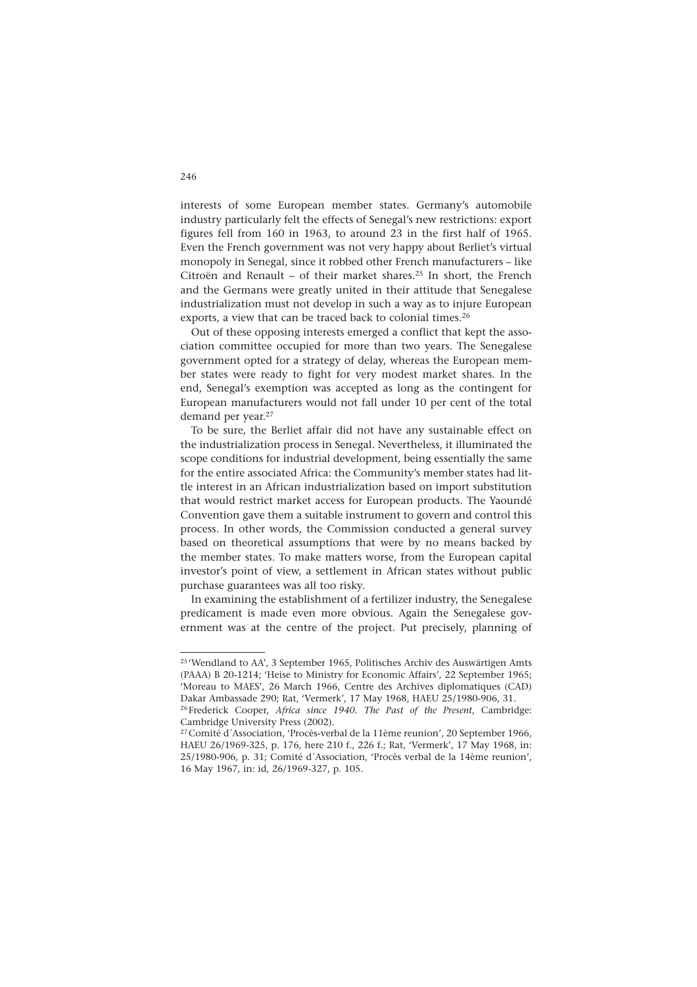interests of some European member states. Germany's automobile industry particularly felt the effects of Senegal's new restrictions: export figures fell from 160 in 1963, to around 23 in the first half of 1965. Even the French government was not very happy about Berliet's virtual monopoly in Senegal, since it robbed other French manufacturers – like Citroën and Renault – of their market shares.<sup>25</sup> In short, the French and the Germans were greatly united in their attitude that Senegalese industrialization must not develop in such a way as to injure European exports, a view that can be traced back to colonial times.<sup>26</sup>

Out of these opposing interests emerged a conflict that kept the association committee occupied for more than two years. The Senegalese government opted for a strategy of delay, whereas the European member states were ready to fight for very modest market shares. In the end, Senegal's exemption was accepted as long as the contingent for European manufacturers would not fall under 10 per cent of the total demand per year.<sup>27</sup>

To be sure, the Berliet affair did not have any sustainable effect on the industrialization process in Senegal. Nevertheless, it illuminated the scope conditions for industrial development, being essentially the same for the entire associated Africa: the Community's member states had little interest in an African industrialization based on import substitution that would restrict market access for European products. The Yaoundé Convention gave them a suitable instrument to govern and control this process. In other words, the Commission conducted a general survey based on theoretical assumptions that were by no means backed by the member states. To make matters worse, from the European capital investor's point of view, a settlement in African states without public purchase guarantees was all too risky.

In examining the establishment of a fertilizer industry, the Senegalese predicament is made even more obvious. Again the Senegalese government was at the centre of the project. Put precisely, planning of

<sup>25 &#</sup>x27;Wendland to AA', 3 September 1965, Politisches Archiv des Auswärtigen Amts (PAAA) B 20-1214; 'Heise to Ministry for Economic Affairs', 22 September 1965; 'Moreau to MAES', 26 March 1966, Centre des Archives diplomatiques (CAD) Dakar Ambassade 290; Rat, 'Vermerk', 17 May 1968, HAEU 25/1980-906, 31.

<sup>26</sup> Frederick Cooper, *Africa since 1940. The Past of the Present*, Cambridge: Cambridge University Press (2002).

<sup>27</sup> Comité d´Association, 'Procès-verbal de la 11ème reunion', 20 September 1966, HAEU 26/1969-325, p. 176, here 210 f., 226 f.; Rat, 'Vermerk', 17 May 1968, in: 25/1980-906, p. 31; Comité d´Association, 'Procès verbal de la 14ème reunion', 16 May 1967, in: id, 26/1969-327, p. 105.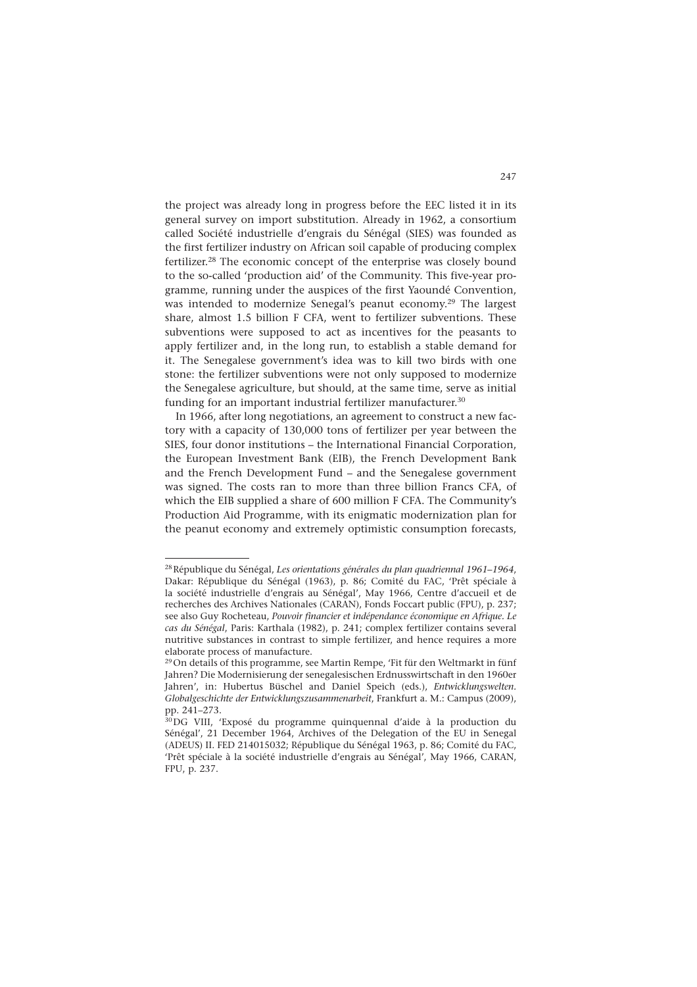the project was already long in progress before the EEC listed it in its general survey on import substitution. Already in 1962, a consortium called Société industrielle d'engrais du Sénégal (SIES) was founded as the first fertilizer industry on African soil capable of producing complex fertilizer.28 The economic concept of the enterprise was closely bound to the so-called 'production aid' of the Community. This five-year programme, running under the auspices of the first Yaoundé Convention, was intended to modernize Senegal's peanut economy.<sup>29</sup> The largest share, almost 1.5 billion F CFA, went to fertilizer subventions. These subventions were supposed to act as incentives for the peasants to apply fertilizer and, in the long run, to establish a stable demand for it. The Senegalese government's idea was to kill two birds with one stone: the fertilizer subventions were not only supposed to modernize the Senegalese agriculture, but should, at the same time, serve as initial funding for an important industrial fertilizer manufacturer.<sup>30</sup>

In 1966, after long negotiations, an agreement to construct a new factory with a capacity of 130,000 tons of fertilizer per year between the SIES, four donor institutions – the International Financial Corporation, the European Investment Bank (EIB), the French Development Bank and the French Development Fund – and the Senegalese government was signed. The costs ran to more than three billion Francs CFA, of which the EIB supplied a share of 600 million F CFA. The Community's Production Aid Programme, with its enigmatic modernization plan for the peanut economy and extremely optimistic consumption forecasts,

<sup>28</sup> République du Sénégal, *Les orientations générales du plan quadriennal 1961–1964*, Dakar: République du Sénégal (1963), p. 86; Comité du FAC, 'Prêt spéciale à la société industrielle d'engrais au Sénégal', May 1966, Centre d'accueil et de recherches des Archives Nationales (CARAN), Fonds Foccart public (FPU), p. 237; see also Guy Rocheteau, *Pouvoir financier et indépendance économique en Afrique. Le cas du Sénégal*, Paris: Karthala (1982), p. 241; complex fertilizer contains several nutritive substances in contrast to simple fertilizer, and hence requires a more elaborate process of manufacture.

<sup>29</sup> On details of this programme, see Martin Rempe, 'Fit für den Weltmarkt in fünf Jahren? Die Modernisierung der senegalesischen Erdnusswirtschaft in den 1960er Jahren', in: Hubertus Büschel and Daniel Speich (eds.), *Entwicklungswelten. Globalgeschichte der Entwicklungszusammenarbeit*, Frankfurt a. M.: Campus (2009), pp. 241–273.

<sup>30</sup> DG VIII, 'Exposé du programme quinquennal d'aide à la production du Sénégal', 21 December 1964, Archives of the Delegation of the EU in Senegal (ADEUS) II. FED 214015032; République du Sénégal 1963, p. 86; Comité du FAC, 'Prêt spéciale à la société industrielle d'engrais au Sénégal', May 1966, CARAN, FPU, p. 237.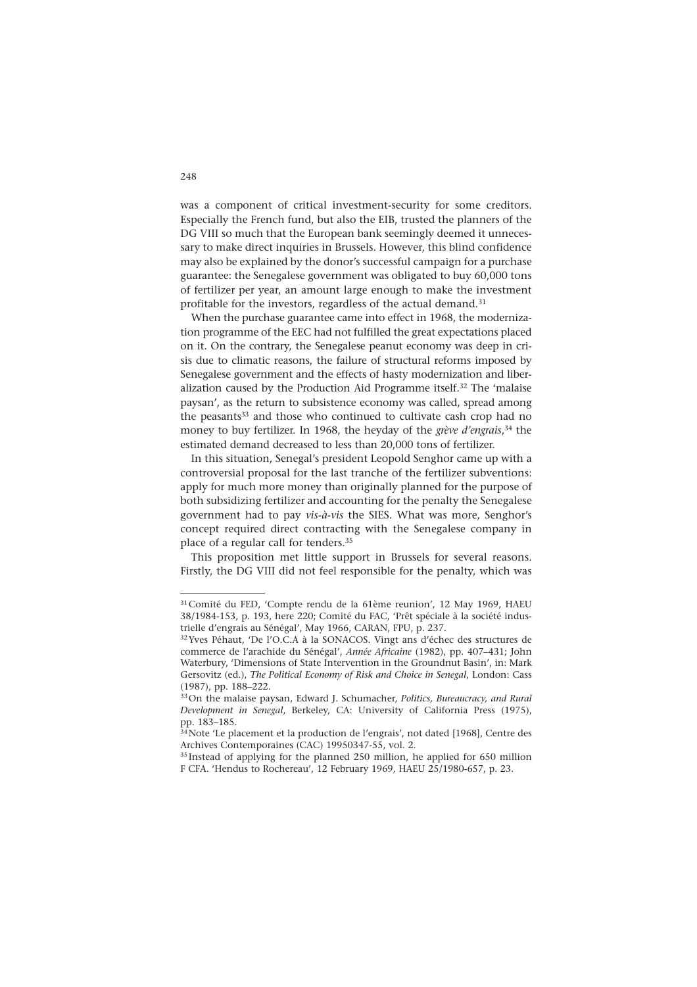was a component of critical investment-security for some creditors. Especially the French fund, but also the EIB, trusted the planners of the DG VIII so much that the European bank seemingly deemed it unnecessary to make direct inquiries in Brussels. However, this blind confidence may also be explained by the donor's successful campaign for a purchase guarantee: the Senegalese government was obligated to buy 60,000 tons of fertilizer per year, an amount large enough to make the investment profitable for the investors, regardless of the actual demand.<sup>31</sup>

When the purchase guarantee came into effect in 1968, the modernization programme of the EEC had not fulfilled the great expectations placed on it. On the contrary, the Senegalese peanut economy was deep in crisis due to climatic reasons, the failure of structural reforms imposed by Senegalese government and the effects of hasty modernization and liberalization caused by the Production Aid Programme itself.<sup>32</sup> The 'malaise paysan', as the return to subsistence economy was called, spread among the peasants<sup>33</sup> and those who continued to cultivate cash crop had no money to buy fertilizer. In 1968, the heyday of the *grève d'engrais*, 34 the estimated demand decreased to less than 20,000 tons of fertilizer.

In this situation, Senegal's president Leopold Senghor came up with a controversial proposal for the last tranche of the fertilizer subventions: apply for much more money than originally planned for the purpose of both subsidizing fertilizer and accounting for the penalty the Senegalese government had to pay *vis-à-vis* the SIES. What was more, Senghor's concept required direct contracting with the Senegalese company in place of a regular call for tenders.35

This proposition met little support in Brussels for several reasons. Firstly, the DG VIII did not feel responsible for the penalty, which was

<sup>31</sup> Comité du FED, 'Compte rendu de la 61ème reunion', 12 May 1969, HAEU 38/1984-153, p. 193, here 220; Comité du FAC, 'Prêt spéciale à la société industrielle d'engrais au Sénégal', May 1966, CARAN, FPU, p. 237.

<sup>32</sup> Yves Péhaut, 'De l'O.C.A à la SONACOS. Vingt ans d'échec des structures de commerce de l'arachide du Sénégal', *Année Africaine* (1982), pp. 407–431; John Waterbury, 'Dimensions of State Intervention in the Groundnut Basin', in: Mark Gersovitz (ed.), *The Political Economy of Risk and Choice in Senegal*, London: Cass (1987), pp. 188–222.

<sup>33</sup> On the malaise paysan, Edward J. Schumacher, *Politics, Bureaucracy, and Rural Development in Senegal*, Berkeley, CA: University of California Press (1975), pp. 183–185.

<sup>34</sup> Note 'Le placement et la production de l'engrais', not dated [1968], Centre des Archives Contemporaines (CAC) 19950347-55, vol. 2.

<sup>35</sup> Instead of applying for the planned 250 million, he applied for 650 million F CFA. 'Hendus to Rochereau', 12 February 1969, HAEU 25/1980-657, p. 23.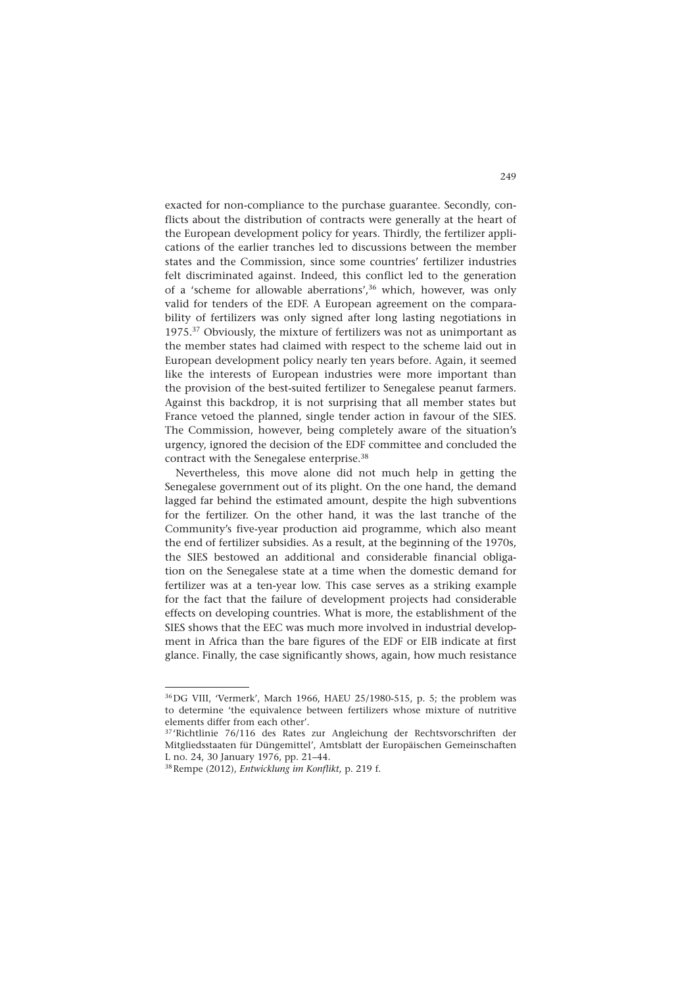exacted for non-compliance to the purchase guarantee. Secondly, conflicts about the distribution of contracts were generally at the heart of the European development policy for years. Thirdly, the fertilizer applications of the earlier tranches led to discussions between the member states and the Commission, since some countries' fertilizer industries felt discriminated against. Indeed, this conflict led to the generation of a 'scheme for allowable aberrations',<sup>36</sup> which, however, was only valid for tenders of the EDF. A European agreement on the comparability of fertilizers was only signed after long lasting negotiations in 1975.37 Obviously, the mixture of fertilizers was not as unimportant as the member states had claimed with respect to the scheme laid out in European development policy nearly ten years before. Again, it seemed like the interests of European industries were more important than the provision of the best-suited fertilizer to Senegalese peanut farmers. Against this backdrop, it is not surprising that all member states but France vetoed the planned, single tender action in favour of the SIES. The Commission, however, being completely aware of the situation's urgency, ignored the decision of the EDF committee and concluded the contract with the Senegalese enterprise.<sup>38</sup>

Nevertheless, this move alone did not much help in getting the Senegalese government out of its plight. On the one hand, the demand lagged far behind the estimated amount, despite the high subventions for the fertilizer. On the other hand, it was the last tranche of the Community's five-year production aid programme, which also meant the end of fertilizer subsidies. As a result, at the beginning of the 1970s, the SIES bestowed an additional and considerable financial obligation on the Senegalese state at a time when the domestic demand for fertilizer was at a ten-year low. This case serves as a striking example for the fact that the failure of development projects had considerable effects on developing countries. What is more, the establishment of the SIES shows that the EEC was much more involved in industrial development in Africa than the bare figures of the EDF or EIB indicate at first glance. Finally, the case significantly shows, again, how much resistance

<sup>36</sup> DG VIII, 'Vermerk', March 1966, HAEU 25/1980-515, p. 5; the problem was to determine 'the equivalence between fertilizers whose mixture of nutritive elements differ from each other'.

<sup>37 &#</sup>x27;Richtlinie 76/116 des Rates zur Angleichung der Rechtsvorschriften der Mitgliedsstaaten für Düngemittel', Amtsblatt der Europäischen Gemeinschaften L no. 24, 30 January 1976, pp. 21–44.

<sup>38</sup> Rempe (2012), *Entwicklung im Konflikt*, p. 219 f.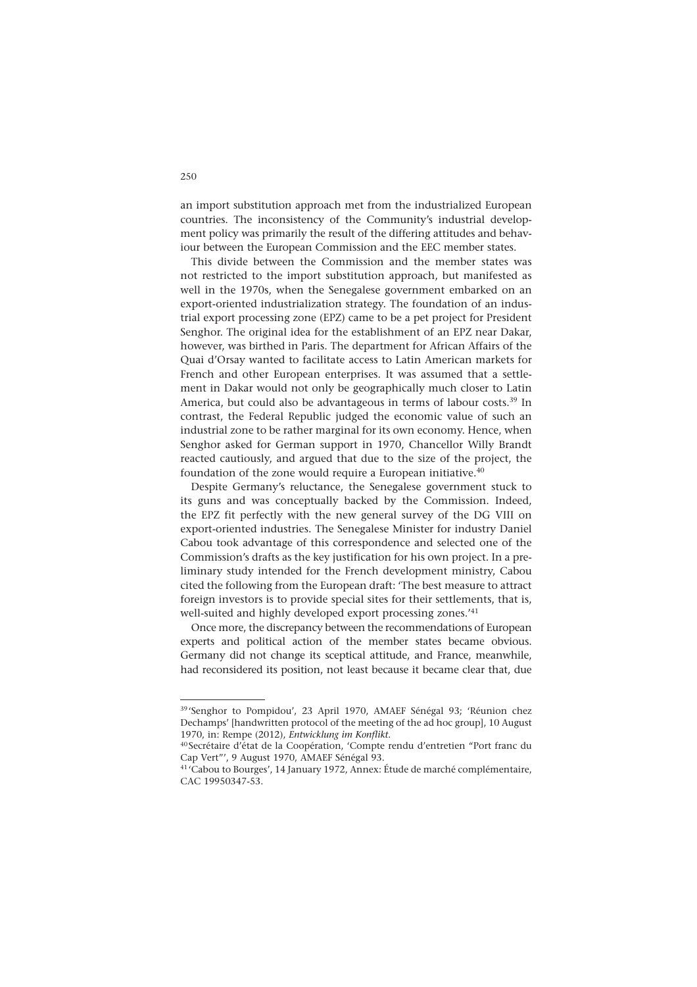an import substitution approach met from the industrialized European countries. The inconsistency of the Community's industrial development policy was primarily the result of the differing attitudes and behaviour between the European Commission and the EEC member states.

This divide between the Commission and the member states was not restricted to the import substitution approach, but manifested as well in the 1970s, when the Senegalese government embarked on an export-oriented industrialization strategy. The foundation of an industrial export processing zone (EPZ) came to be a pet project for President Senghor. The original idea for the establishment of an EPZ near Dakar, however, was birthed in Paris. The department for African Affairs of the Quai d'Orsay wanted to facilitate access to Latin American markets for French and other European enterprises. It was assumed that a settlement in Dakar would not only be geographically much closer to Latin America, but could also be advantageous in terms of labour costs.<sup>39</sup> In contrast, the Federal Republic judged the economic value of such an industrial zone to be rather marginal for its own economy. Hence, when Senghor asked for German support in 1970, Chancellor Willy Brandt reacted cautiously, and argued that due to the size of the project, the foundation of the zone would require a European initiative.<sup>40</sup>

Despite Germany's reluctance, the Senegalese government stuck to its guns and was conceptually backed by the Commission. Indeed, the EPZ fit perfectly with the new general survey of the DG VIII on export-oriented industries. The Senegalese Minister for industry Daniel Cabou took advantage of this correspondence and selected one of the Commission's drafts as the key justification for his own project. In a preliminary study intended for the French development ministry, Cabou cited the following from the European draft: 'The best measure to attract foreign investors is to provide special sites for their settlements, that is, well-suited and highly developed export processing zones.'41

Once more, the discrepancy between the recommendations of European experts and political action of the member states became obvious. Germany did not change its sceptical attitude, and France, meanwhile, had reconsidered its position, not least because it became clear that, due

<sup>39 &#</sup>x27;Senghor to Pompidou', 23 April 1970, AMAEF Sénégal 93; 'Réunion chez Dechamps' [handwritten protocol of the meeting of the ad hoc group], 10 August 1970, in: Rempe (2012), *Entwicklung im Konflikt*.

<sup>40</sup> Secrétaire d'état de la Coopération, 'Compte rendu d'entretien "Port franc du Cap Vert"', 9 August 1970, AMAEF Sénégal 93.

<sup>41 &#</sup>x27;Cabou to Bourges', 14 January 1972, Annex: Étude de marché complémentaire, CAC 19950347-53.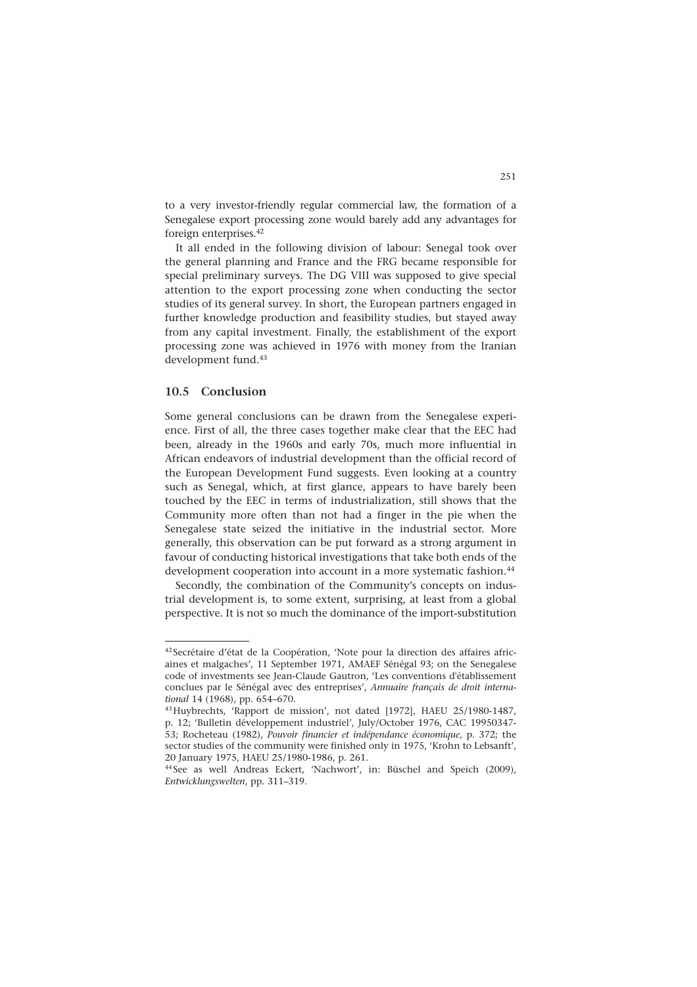to a very investor-friendly regular commercial law, the formation of a Senegalese export processing zone would barely add any advantages for foreign enterprises.42

It all ended in the following division of labour: Senegal took over the general planning and France and the FRG became responsible for special preliminary surveys. The DG VIII was supposed to give special attention to the export processing zone when conducting the sector studies of its general survey. In short, the European partners engaged in further knowledge production and feasibility studies, but stayed away from any capital investment. Finally, the establishment of the export processing zone was achieved in 1976 with money from the Iranian development fund.<sup>43</sup>

## **10.5 Conclusion**

Some general conclusions can be drawn from the Senegalese experience. First of all, the three cases together make clear that the EEC had been, already in the 1960s and early 70s, much more influential in African endeavors of industrial development than the official record of the European Development Fund suggests. Even looking at a country such as Senegal, which, at first glance, appears to have barely been touched by the EEC in terms of industrialization, still shows that the Community more often than not had a finger in the pie when the Senegalese state seized the initiative in the industrial sector. More generally, this observation can be put forward as a strong argument in favour of conducting historical investigations that take both ends of the development cooperation into account in a more systematic fashion.<sup>44</sup>

Secondly, the combination of the Community's concepts on industrial development is, to some extent, surprising, at least from a global perspective. It is not so much the dominance of the import-substitution

<sup>42</sup> Secrétaire d'état de la Coopération, 'Note pour la direction des affaires africaines et malgaches', 11 September 1971, AMAEF Sénégal 93; on the Senegalese code of investments see Jean-Claude Gautron, 'Les conventions d'établissement conclues par le Sénégal avec des entreprises', *Annuaire français de droit international* 14 (1968), pp. 654–670.

<sup>43</sup> Huybrechts, 'Rapport de mission', not dated [1972], HAEU 25/1980-1487, p. 12; 'Bulletin développement industriel', July/October 1976, CAC 19950347- 53; Rocheteau (1982), *Pouvoir financier et indépendance économique*, p. 372; the sector studies of the community were finished only in 1975, 'Krohn to Lebsanft', 20 January 1975, HAEU 25/1980-1986, p. 261.

<sup>44</sup> See as well Andreas Eckert, 'Nachwort', in: Büschel and Speich (2009), *Entwicklungswelten*, pp. 311–319.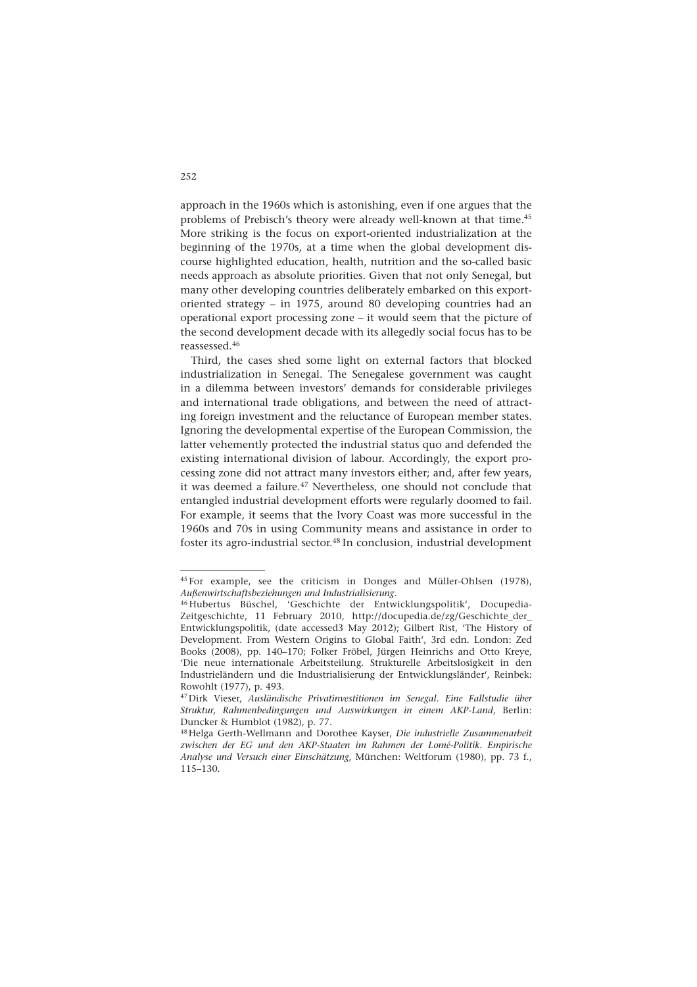approach in the 1960s which is astonishing, even if one argues that the problems of Prebisch's theory were already well-known at that time.<sup>45</sup> More striking is the focus on export-oriented industrialization at the beginning of the 1970s, at a time when the global development discourse highlighted education, health, nutrition and the so-called basic needs approach as absolute priorities. Given that not only Senegal, but many other developing countries deliberately embarked on this exportoriented strategy – in 1975, around 80 developing countries had an operational export processing zone – it would seem that the picture of the second development decade with its allegedly social focus has to be reassessed.46

Third, the cases shed some light on external factors that blocked industrialization in Senegal. The Senegalese government was caught in a dilemma between investors' demands for considerable privileges and international trade obligations, and between the need of attracting foreign investment and the reluctance of European member states. Ignoring the developmental expertise of the European Commission, the latter vehemently protected the industrial status quo and defended the existing international division of labour. Accordingly, the export processing zone did not attract many investors either; and, after few years, it was deemed a failure.<sup>47</sup> Nevertheless, one should not conclude that entangled industrial development efforts were regularly doomed to fail. For example, it seems that the Ivory Coast was more successful in the 1960s and 70s in using Community means and assistance in order to foster its agro-industrial sector.<sup>48</sup> In conclusion, industrial development

<sup>45</sup> For example, see the criticism in Donges and Müller-Ohlsen (1978), *Außenwirtschaftsbeziehungen und Industrialisierung*. 46 Hubertus Büschel, 'Geschichte der Entwicklungspolitik', Docupedia-

Zeitgeschichte, 11 February 2010, http://docupedia.de/zg/Geschichte\_der\_ Entwicklungspolitik, (date accessed3 May 2012); Gilbert Rist, 'The History of Development. From Western Origins to Global Faith', 3rd edn. London: Zed Books (2008), pp. 140–170; Folker Fröbel, Jürgen Heinrichs and Otto Kreye, 'Die neue internationale Arbeitsteilung. Strukturelle Arbeitslosigkeit in den Industrieländern und die Industrialisierung der Entwicklungsländer', Reinbek: Rowohlt (1977), p. 493.

<sup>47</sup> Dirk Vieser, *Ausländische Privatinvestitionen im Senegal. Eine Fallstudie über Struktur, Rahmenbedingungen und Auswirkungen in einem AKP-Land*, Berlin: Duncker & Humblot (1982), p. 77.

<sup>48</sup> Helga Gerth-Wellmann and Dorothee Kayser, *Die industrielle Zusammenarbeit zwischen der EG und den AKP-Staaten im Rahmen der Lomé-Politik. Empirische Analyse und Versuch einer Einschätzung*, München: Weltforum (1980), pp. 73 f., 115–130.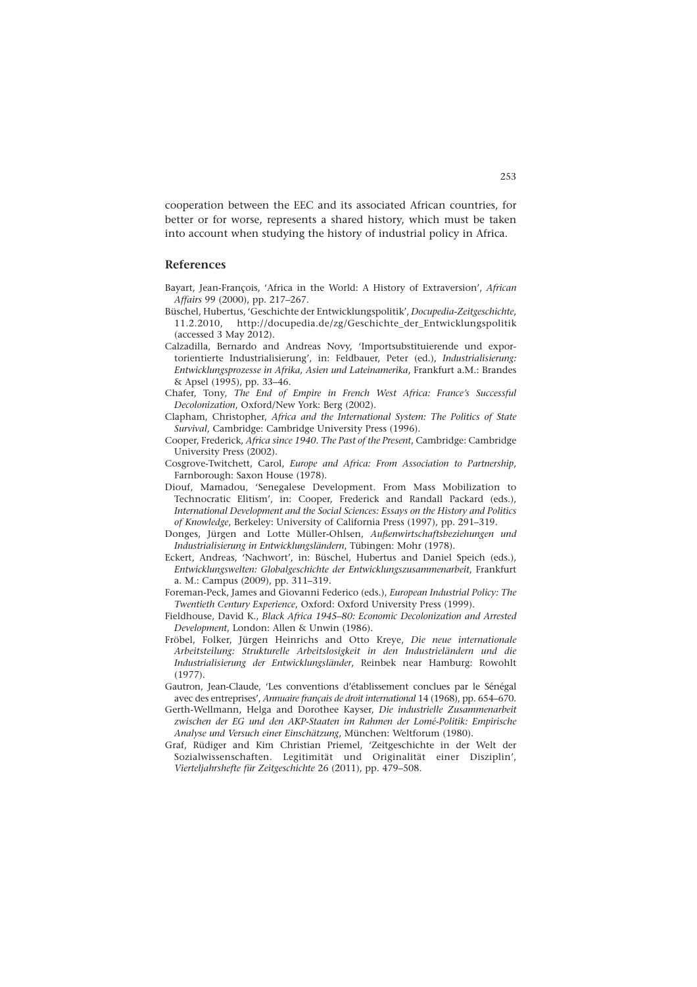cooperation between the EEC and its associated African countries, for better or for worse, represents a shared history, which must be taken into account when studying the history of industrial policy in Africa.

#### **References**

- Bayart, Jean-François, 'Africa in the World: A History of Extraversion', *African Affairs* 99 (2000), pp. 217–267.
- Büschel, Hubertus, 'Geschichte der Entwicklungspolitik', *Docupedia-Zeitgeschichte*, 11.2.2010, http://docupedia.de/zg/Geschichte\_der\_Entwicklungspolitik (accessed 3 May 2012).
- Calzadilla, Bernardo and Andreas Novy, 'Importsubstituierende und exportorientierte Industrialisierung', in: Feldbauer, Peter (ed.), *Industrialisierung: Entwicklungsprozesse in Afrika, Asien und Lateinamerika*, Frankfurt a.M.: Brandes & Apsel (1995), pp. 33–46.
- Chafer, Tony, *The End of Empire in French West Africa: France's Successful Decolonization*, Oxford/New York: Berg (2002).
- Clapham, Christopher, *Africa and the International System: The Politics of State Survival*, Cambridge: Cambridge University Press (1996).
- Cooper, Frederick, *Africa since 1940. The Past of the Present*, Cambridge: Cambridge University Press (2002).
- Cosgrove-Twitchett, Carol, *Europe and Africa: From Association to Partnership*, Farnborough: Saxon House (1978).
- Diouf, Mamadou, 'Senegalese Development. From Mass Mobilization to Technocratic Elitism', in: Cooper, Frederick and Randall Packard (eds.), *International Development and the Social Sciences: Essays on the History and Politics of Knowledge*, Berkeley: University of California Press (1997), pp. 291–319.
- Donges, Jürgen and Lotte Müller-Ohlsen, *Außenwirtschaftsbeziehungen und Industrialisierung in Entwicklungsländern*, Tübingen: Mohr (1978).
- Eckert, Andreas, 'Nachwort', in: Büschel, Hubertus and Daniel Speich (eds.), *Entwicklungswelten: Globalgeschichte der Entwicklungszusammenarbeit*, Frankfurt a. M.: Campus (2009), pp. 311–319.
- Foreman-Peck, James and Giovanni Federico (eds.), *European Industrial Policy: The Twentieth Century Experience*, Oxford: Oxford University Press (1999).
- Fieldhouse, David K., *Black Africa 1945–80: Economic Decolonization and Arrested Development*, London: Allen & Unwin (1986).
- Fröbel, Folker, Jürgen Heinrichs and Otto Kreye, *Die neue internationale Arbeitsteilung: Strukturelle Arbeitslosigkeit in den Industrieländern und die Industrialisierung der Entwicklungsländer*, Reinbek near Hamburg: Rowohlt (1977).
- Gautron, Jean-Claude, 'Les conventions d'établissement conclues par le Sénégal avec des entreprises', *Annuaire français de droit international* 14 (1968), pp. 654–670.
- Gerth-Wellmann, Helga and Dorothee Kayser, *Die industrielle Zusammenarbeit zwischen der EG und den AKP-Staaten im Rahmen der Lomé-Politik: Empirische Analyse und Versuch einer Einschätzung*, München: Weltforum (1980).
- Graf, Rüdiger and Kim Christian Priemel, 'Zeitgeschichte in der Welt der Sozialwissenschaften. Legitimität und Originalität einer Disziplin', *Vierteljahrshefte für Zeitgeschichte* 26 (2011), pp. 479–508.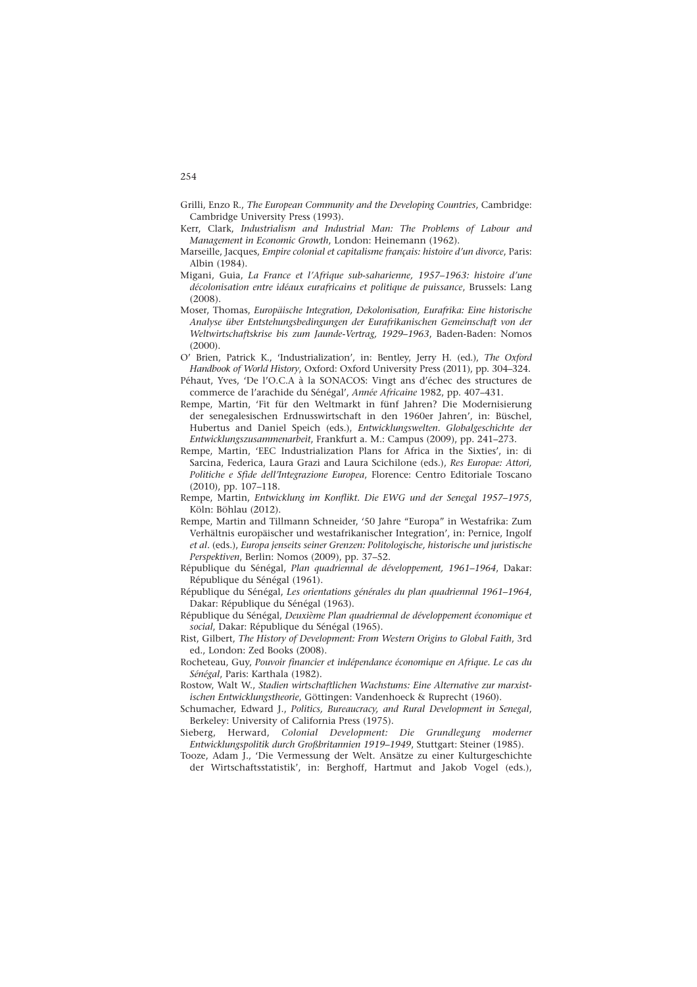- Grilli, Enzo R., *The European Community and the Developing Countries*, Cambridge: Cambridge University Press (1993).
- Kerr, Clark, *Industrialism and Industrial Man: The Problems of Labour and Management in Economic Growth*, London: Heinemann (1962).
- Marseille, Jacques, *Empire colonial et capitalisme français: histoire d'un divorce*, Paris: Albin (1984).
- Migani, Guia, *La France et l'Afrique sub-saharienne, 1957–1963: histoire d'une décolonisation entre idéaux eurafricains et politique de puissance*, Brussels: Lang (2008).
- Moser, Thomas, *Europäische Integration, Dekolonisation, Eurafrika: Eine historische Analyse über Entstehungsbedingungen der Eurafrikanischen Gemeinschaft von der Weltwirtschaftskrise bis zum Jaunde-Vertrag, 1929–1963*, Baden-Baden: Nomos (2000).
- O' Brien, Patrick K., 'Industrialization', in: Bentley, Jerry H. (ed.), *The Oxford Handbook of World History*, Oxford: Oxford University Press (2011), pp. 304–324.
- Péhaut, Yves, 'De l'O.C.A à la SONACOS: Vingt ans d'échec des structures de commerce de l'arachide du Sénégal', *Année Africaine* 1982, pp. 407–431.
- Rempe, Martin, 'Fit für den Weltmarkt in fünf Jahren? Die Modernisierung der senegalesischen Erdnusswirtschaft in den 1960er Jahren', in: Büschel, Hubertus and Daniel Speich (eds.), *Entwicklungswelten. Globalgeschichte der Entwicklungszusammenarbeit*, Frankfurt a. M.: Campus (2009), pp. 241–273.
- Rempe, Martin, 'EEC Industrialization Plans for Africa in the Sixties', in: di Sarcina, Federica, Laura Grazi and Laura Scichilone (eds.), *Res Europae: Attori, Politiche e Sfide dell'Integrazione Europea*, Florence: Centro Editoriale Toscano (2010), pp. 107–118.
- Rempe, Martin, *Entwicklung im Konflikt. Die EWG und der Senegal 1957–1975*, Köln: Böhlau (2012).
- Rempe, Martin and Tillmann Schneider, '50 Jahre "Europa" in Westafrika: Zum Verhältnis europäischer und westafrikanischer Integration', in: Pernice, Ingolf *et al*. (eds.), *Europa jenseits seiner Grenzen: Politologische, historische und juristische Perspektiven*, Berlin: Nomos (2009), pp. 37–52.
- République du Sénégal, *Plan quadriennal de développement, 1961–1964*, Dakar: République du Sénégal (1961).
- République du Sénégal, *Les orientations générales du plan quadriennal 1961–1964*, Dakar: République du Sénégal (1963).
- République du Sénégal, *Deuxième Plan quadriennal de développement économique et social*, Dakar: République du Sénégal (1965).
- Rist, Gilbert, *The History of Development: From Western Origins to Global Faith*, 3rd ed., London: Zed Books (2008).
- Rocheteau, Guy, *Pouvoir financier et indépendance économique en Afrique. Le cas du Sénégal*, Paris: Karthala (1982).
- Rostow, Walt W., *Stadien wirtschaftlichen Wachstums: Eine Alternative zur marxistischen Entwicklungstheorie*, Göttingen: Vandenhoeck & Ruprecht (1960).
- Schumacher, Edward J., *Politics, Bureaucracy, and Rural Development in Senegal*, Berkeley: University of California Press (1975).
- Sieberg, Herward, *Colonial Development: Die Grundlegung moderner Entwicklungspolitik durch Großbritannien 1919–1949*, Stuttgart: Steiner (1985).
- Tooze, Adam J., 'Die Vermessung der Welt. Ansätze zu einer Kulturgeschichte der Wirtschaftsstatistik', in: Berghoff, Hartmut and Jakob Vogel (eds.),